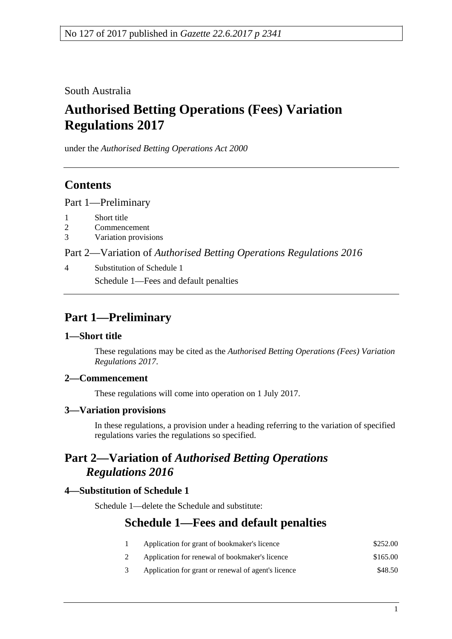South Australia

# **Authorised Betting Operations (Fees) Variation Regulations 2017**

under the *Authorised Betting Operations Act 2000*

## **Contents**

Part [1—Preliminary](#page-0-0)

- 1 [Short title](#page-0-1)
- 2 [Commencement](#page-0-2)
- 3 [Variation provisions](#page-0-3)

Part 2—Variation of *[Authorised Betting Operations Regulations](#page-0-4) 2016*

4 [Substitution of Schedule 1](#page-0-5) Schedule 1—Fees and default penalties

# <span id="page-0-0"></span>**Part 1—Preliminary**

#### <span id="page-0-1"></span>**1—Short title**

These regulations may be cited as the *Authorised Betting Operations (Fees) Variation Regulations 2017*.

### <span id="page-0-2"></span>**2—Commencement**

These regulations will come into operation on 1 July 2017.

### <span id="page-0-3"></span>**3—Variation provisions**

In these regulations, a provision under a heading referring to the variation of specified regulations varies the regulations so specified.

## <span id="page-0-4"></span>**Part 2—Variation of** *Authorised Betting Operations Regulations 2016*

### <span id="page-0-5"></span>**4—Substitution of Schedule 1**

Schedule 1—delete the Schedule and substitute:

### **Schedule 1—Fees and default penalties**

- 1 Application for grant of bookmaker's licence \$252.00 2 Application for renewal of bookmaker's licence \$165.00
- 
- 3 Application for grant or renewal of agent's licence \$48.50